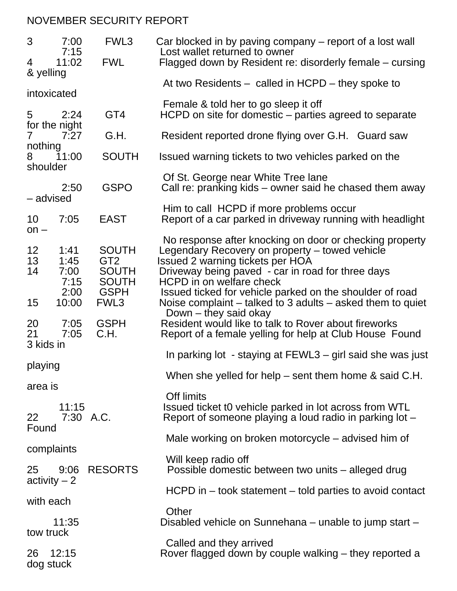## NOVEMBER SECURITY REPORT

| 3                                 | 7:00<br>7:15                 | FWL <sub>3</sub>                                                | Car blocked in by paving company – report of a lost wall<br>Lost wallet returned to owner                                                                                                                                      |
|-----------------------------------|------------------------------|-----------------------------------------------------------------|--------------------------------------------------------------------------------------------------------------------------------------------------------------------------------------------------------------------------------|
| 4<br>& yelling                    | 11:02                        | <b>FWL</b>                                                      | Flagged down by Resident re: disorderly female – cursing                                                                                                                                                                       |
|                                   | intoxicated                  |                                                                 | At two Residents $-$ called in HCPD $-$ they spoke to                                                                                                                                                                          |
| 5                                 | 2:24                         | GT4                                                             | Female & told her to go sleep it off<br>HCPD on site for domestic – parties agreed to separate                                                                                                                                 |
| 7                                 | for the night<br>7:27        | G.H.                                                            | Resident reported drone flying over G.H. Guard saw                                                                                                                                                                             |
| nothing<br>11:00<br>8<br>shoulder |                              | <b>SOUTH</b>                                                    | Issued warning tickets to two vehicles parked on the                                                                                                                                                                           |
|                                   | 2:50<br>- advised            | <b>GSPO</b>                                                     | Of St. George near White Tree lane<br>Call re: pranking kids – owner said he chased them away                                                                                                                                  |
| 10<br>$on -$                      | 7:05                         | <b>EAST</b>                                                     | Him to call HCPD if more problems occur<br>Report of a car parked in driveway running with headlight                                                                                                                           |
| 12<br>13<br>14                    | 1:41<br>1:45<br>7:00<br>7:15 | <b>SOUTH</b><br>GT <sub>2</sub><br><b>SOUTH</b><br><b>SOUTH</b> | No response after knocking on door or checking property<br>Legendary Recovery on property – towed vehicle<br>Issued 2 warning tickets per HOA<br>Driveway being paved - car in road for three days<br>HCPD in on welfare check |
| 15                                | 2:00<br>10:00                | <b>GSPH</b><br>FWL3                                             | Issued ticked for vehicle parked on the shoulder of road<br>Noise complaint $-$ talked to 3 adults $-$ asked them to quiet<br>Down – they said okay                                                                            |
| 20<br>21                          | 7:05<br>7:05                 | <b>GSPH</b><br>C.H.                                             | Resident would like to talk to Rover about fireworks<br>Report of a female yelling for help at Club House Found                                                                                                                |
| 3 kids in                         |                              |                                                                 | In parking lot - staying at FEWL3 – girl said she was just                                                                                                                                                                     |
| playing                           |                              |                                                                 | When she yelled for help $-$ sent them home & said C.H.                                                                                                                                                                        |
| area is                           |                              |                                                                 | <b>Off limits</b>                                                                                                                                                                                                              |
| 22<br>Found                       | 11:15                        | 7:30 A.C.                                                       | Issued ticket to vehicle parked in lot across from WTL<br>Report of someone playing a loud radio in parking lot –                                                                                                              |
| complaints                        |                              |                                                                 | Male working on broken motorcycle – advised him of                                                                                                                                                                             |
| 25                                | 9:06                         | <b>RESORTS</b>                                                  | Will keep radio off<br>Possible domestic between two units - alleged drug                                                                                                                                                      |
| $\text{activity} - 2$             |                              |                                                                 | $HCPD$ in $-$ took statement $-$ told parties to avoid contact                                                                                                                                                                 |
|                                   | with each                    |                                                                 | Other                                                                                                                                                                                                                          |
| 11:35<br>tow truck                |                              |                                                                 | Disabled vehicle on Sunnehana – unable to jump start –                                                                                                                                                                         |
| 26                                | 12:15<br>dog stuck           |                                                                 | Called and they arrived<br>Rover flagged down by couple walking – they reported a                                                                                                                                              |